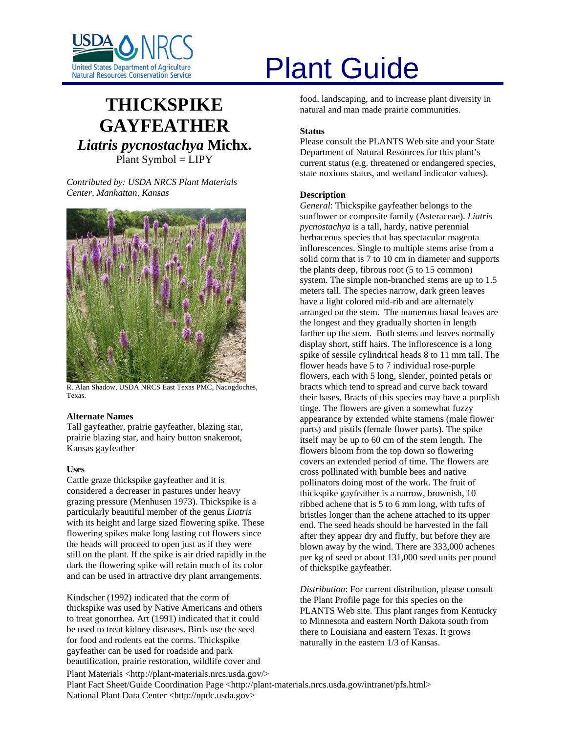

# **THICKSPIKE GAYFEATHER**  *Liatris pycnostachya* **Michx.** Plant Symbol = LIPY

*Contributed by: USDA NRCS Plant Materials Center, Manhattan, Kansas* 



R. Alan Shadow, USDA NRCS East Texas PMC, Nacogdoches, Texas.

# **Alternate Names**

Tall gayfeather, prairie gayfeather, blazing star, prairie blazing star, and hairy button snakeroot, Kansas gayfeather

# **Uses**

Cattle graze thickspike gayfeather and it is considered a decreaser in pastures under heavy grazing pressure (Menhusen 1973). Thickspike is a particularly beautiful member of the genus *Liatris* with its height and large sized flowering spike. These flowering spikes make long lasting cut flowers since the heads will proceed to open just as if they were still on the plant. If the spike is air dried rapidly in the dark the flowering spike will retain much of its color and can be used in attractive dry plant arrangements.

Plant Materials <http://plant-materials.nrcs.usda.gov/> Kindscher (1992) indicated that the corm of thickspike was used by Native Americans and others to treat gonorrhea. Art (1991) indicated that it could be used to treat kidney diseases. Birds use the seed for food and rodents eat the corms. Thickspike gayfeather can be used for roadside and park beautification, prairie restoration, wildlife cover and

# United States Department of Agriculture<br>Natural Resources Conservation Service

food, landscaping, and to increase plant diversity in natural and man made prairie communities.

# **Status**

Please consult the PLANTS Web site and your State Department of Natural Resources for this plant's current status (e.g. threatened or endangered species, state noxious status, and wetland indicator values).

# **Description**

*General*: Thickspike gayfeather belongs to the sunflower or composite family (Asteraceae). *Liatris pycnostachya* is a tall, hardy, native perennial herbaceous species that has spectacular magenta inflorescences. Single to multiple stems arise from a solid corm that is 7 to 10 cm in diameter and supports the plants deep, fibrous root (5 to 15 common) system. The simple non-branched stems are up to 1.5 meters tall. The species narrow, dark green leaves have a light colored mid-rib and are alternately arranged on the stem. The numerous basal leaves are the longest and they gradually shorten in length farther up the stem. Both stems and leaves normally display short, stiff hairs. The inflorescence is a long spike of sessile cylindrical heads 8 to 11 mm tall. The flower heads have 5 to 7 individual rose-purple flowers, each with 5 long, slender, pointed petals or bracts which tend to spread and curve back toward their bases. Bracts of this species may have a purplish tinge. The flowers are given a somewhat fuzzy appearance by extended white stamens (male flower parts) and pistils (female flower parts). The spike itself may be up to 60 cm of the stem length. The flowers bloom from the top down so flowering covers an extended period of time. The flowers are cross pollinated with bumble bees and native pollinators doing most of the work. The fruit of thickspike gayfeather is a narrow, brownish, 10 ribbed achene that is 5 to 6 mm long, with tufts of bristles longer than the achene attached to its upper end. The seed heads should be harvested in the fall after they appear dry and fluffy, but before they are blown away by the wind. There are 333,000 achenes per kg of seed or about 131,000 seed units per pound of thickspike gayfeather.

*Distribution*: For current distribution, please consult the Plant Profile page for this species on the PLANTS Web site. This plant ranges from Kentucky to Minnesota and eastern North Dakota south from there to Louisiana and eastern Texas. It grows naturally in the eastern 1/3 of Kansas.

Plant Fact Sheet/Guide Coordination Page <http://plant-materials.nrcs.usda.gov/intranet/pfs.html> National Plant Data Center <http://npdc.usda.gov>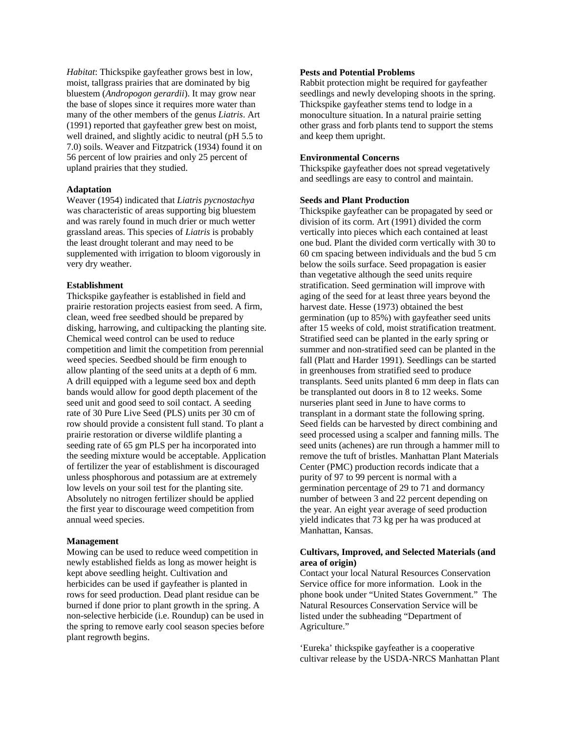*Habitat*: Thickspike gayfeather grows best in low, moist, tallgrass prairies that are dominated by big bluestem (*Andropogon gerardii*). It may grow near the base of slopes since it requires more water than many of the other members of the genus *Liatris*. Art (1991) reported that gayfeather grew best on moist, well drained, and slightly acidic to neutral (pH 5.5 to 7.0) soils. Weaver and Fitzpatrick (1934) found it on 56 percent of low prairies and only 25 percent of upland prairies that they studied.

# **Adaptation**

Weaver (1954) indicated that *Liatris pycnostachya* was characteristic of areas supporting big bluestem and was rarely found in much drier or much wetter grassland areas. This species of *Liatris* is probably the least drought tolerant and may need to be supplemented with irrigation to bloom vigorously in very dry weather.

#### **Establishment**

Thickspike gayfeather is established in field and prairie restoration projects easiest from seed. A firm, clean, weed free seedbed should be prepared by disking, harrowing, and cultipacking the planting site. Chemical weed control can be used to reduce competition and limit the competition from perennial weed species. Seedbed should be firm enough to allow planting of the seed units at a depth of 6 mm. A drill equipped with a legume seed box and depth bands would allow for good depth placement of the seed unit and good seed to soil contact. A seeding rate of 30 Pure Live Seed (PLS) units per 30 cm of row should provide a consistent full stand. To plant a prairie restoration or diverse wildlife planting a seeding rate of 65 gm PLS per ha incorporated into the seeding mixture would be acceptable. Application of fertilizer the year of establishment is discouraged unless phosphorous and potassium are at extremely low levels on your soil test for the planting site. Absolutely no nitrogen fertilizer should be applied the first year to discourage weed competition from annual weed species.

#### **Management**

Mowing can be used to reduce weed competition in newly established fields as long as mower height is kept above seedling height. Cultivation and herbicides can be used if gayfeather is planted in rows for seed production. Dead plant residue can be burned if done prior to plant growth in the spring. A non-selective herbicide (i.e. Roundup) can be used in the spring to remove early cool season species before plant regrowth begins.

# **Pests and Potential Problems**

Rabbit protection might be required for gayfeather seedlings and newly developing shoots in the spring. Thickspike gayfeather stems tend to lodge in a monoculture situation. In a natural prairie setting other grass and forb plants tend to support the stems and keep them upright.

# **Environmental Concerns**

Thickspike gayfeather does not spread vegetatively and seedlings are easy to control and maintain.

# **Seeds and Plant Production**

Thickspike gayfeather can be propagated by seed or division of its corm. Art (1991) divided the corm vertically into pieces which each contained at least one bud. Plant the divided corm vertically with 30 to 60 cm spacing between individuals and the bud 5 cm below the soils surface. Seed propagation is easier than vegetative although the seed units require stratification. Seed germination will improve with aging of the seed for at least three years beyond the harvest date. Hesse (1973) obtained the best germination (up to 85%) with gayfeather seed units after 15 weeks of cold, moist stratification treatment. Stratified seed can be planted in the early spring or summer and non-stratified seed can be planted in the fall (Platt and Harder 1991). Seedlings can be started in greenhouses from stratified seed to produce transplants. Seed units planted 6 mm deep in flats can be transplanted out doors in 8 to 12 weeks. Some nurseries plant seed in June to have corms to transplant in a dormant state the following spring. Seed fields can be harvested by direct combining and seed processed using a scalper and fanning mills. The seed units (achenes) are run through a hammer mill to remove the tuft of bristles. Manhattan Plant Materials Center (PMC) production records indicate that a purity of 97 to 99 percent is normal with a germination percentage of 29 to 71 and dormancy number of between 3 and 22 percent depending on the year. An eight year average of seed production yield indicates that 73 kg per ha was produced at Manhattan, Kansas.

# **Cultivars, Improved, and Selected Materials (and area of origin)**

Contact your local Natural Resources Conservation Service office for more information. Look in the phone book under "United States Government." The Natural Resources Conservation Service will be listed under the subheading "Department of Agriculture."

'Eureka' thickspike gayfeather is a cooperative cultivar release by the USDA-NRCS Manhattan Plant